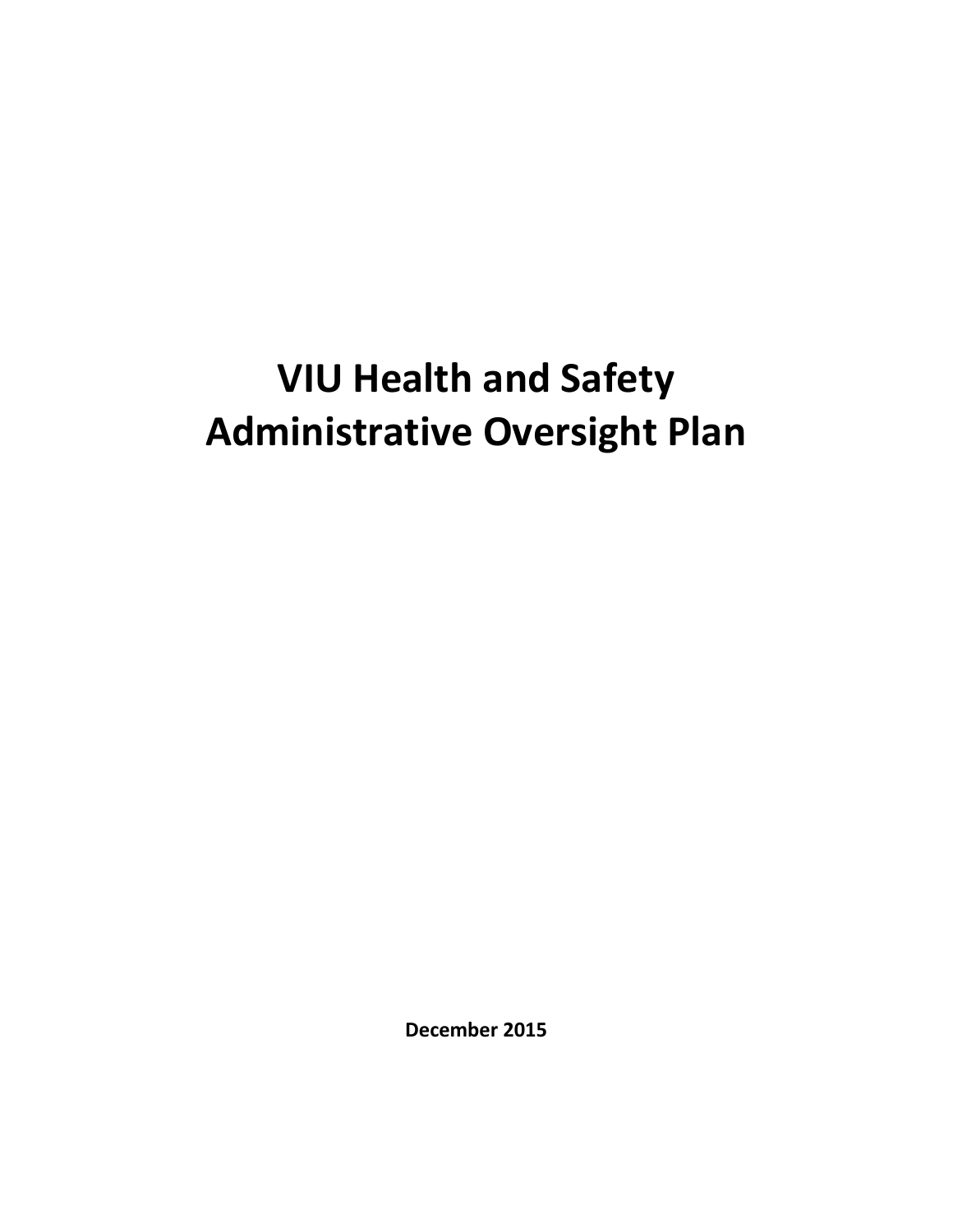# **VIU Health and Safety Administrative Oversight Plan**

**December 2015**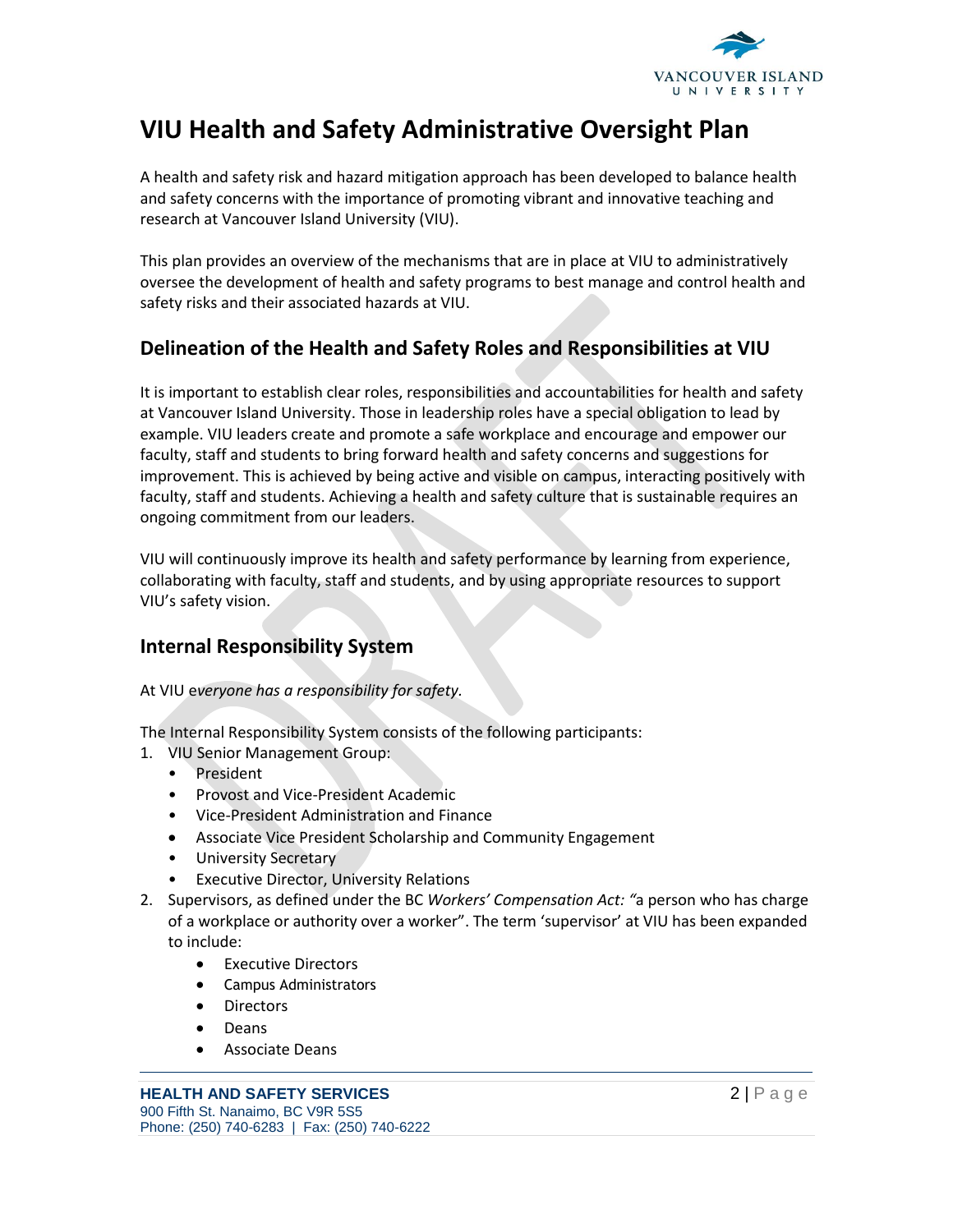

## **VIU Health and Safety Administrative Oversight Plan**

A health and safety risk and hazard mitigation approach has been developed to balance health and safety concerns with the importance of promoting vibrant and innovative teaching and research at Vancouver Island University (VIU).

This plan provides an overview of the mechanisms that are in place at VIU to administratively oversee the development of health and safety programs to best manage and control health and safety risks and their associated hazards at VIU.

## **Delineation of the Health and Safety Roles and Responsibilities at VIU**

It is important to establish clear roles, responsibilities and accountabilities for health and safety at Vancouver Island University. Those in leadership roles have a special obligation to lead by example. VIU leaders create and promote a safe workplace and encourage and empower our faculty, staff and students to bring forward health and safety concerns and suggestions for improvement. This is achieved by being active and visible on campus, interacting positively with faculty, staff and students. Achieving a health and safety culture that is sustainable requires an ongoing commitment from our leaders.

VIU will continuously improve its health and safety performance by learning from experience, collaborating with faculty, staff and students, and by using appropriate resources to support VIU's safety vision.

## **Internal Responsibility System**

#### At VIU e*veryone has a responsibility for safety.*

The Internal Responsibility System consists of the following participants:

- 1. VIU Senior Management Group:
	- President
	- Provost and Vice-President Academic
	- Vice-President Administration and Finance
	- Associate Vice President Scholarship and Community Engagement
	- University Secretary
	- **Executive Director, University Relations**
- 2. Supervisors, as defined under the BC *Workers' Compensation Act: "*a person who has charge of a workplace or authority over a worker". The term 'supervisor' at VIU has been expanded to include:
	- Executive Directors
	- Campus Administrators
	- **Directors**
	- Deans
	- Associate Deans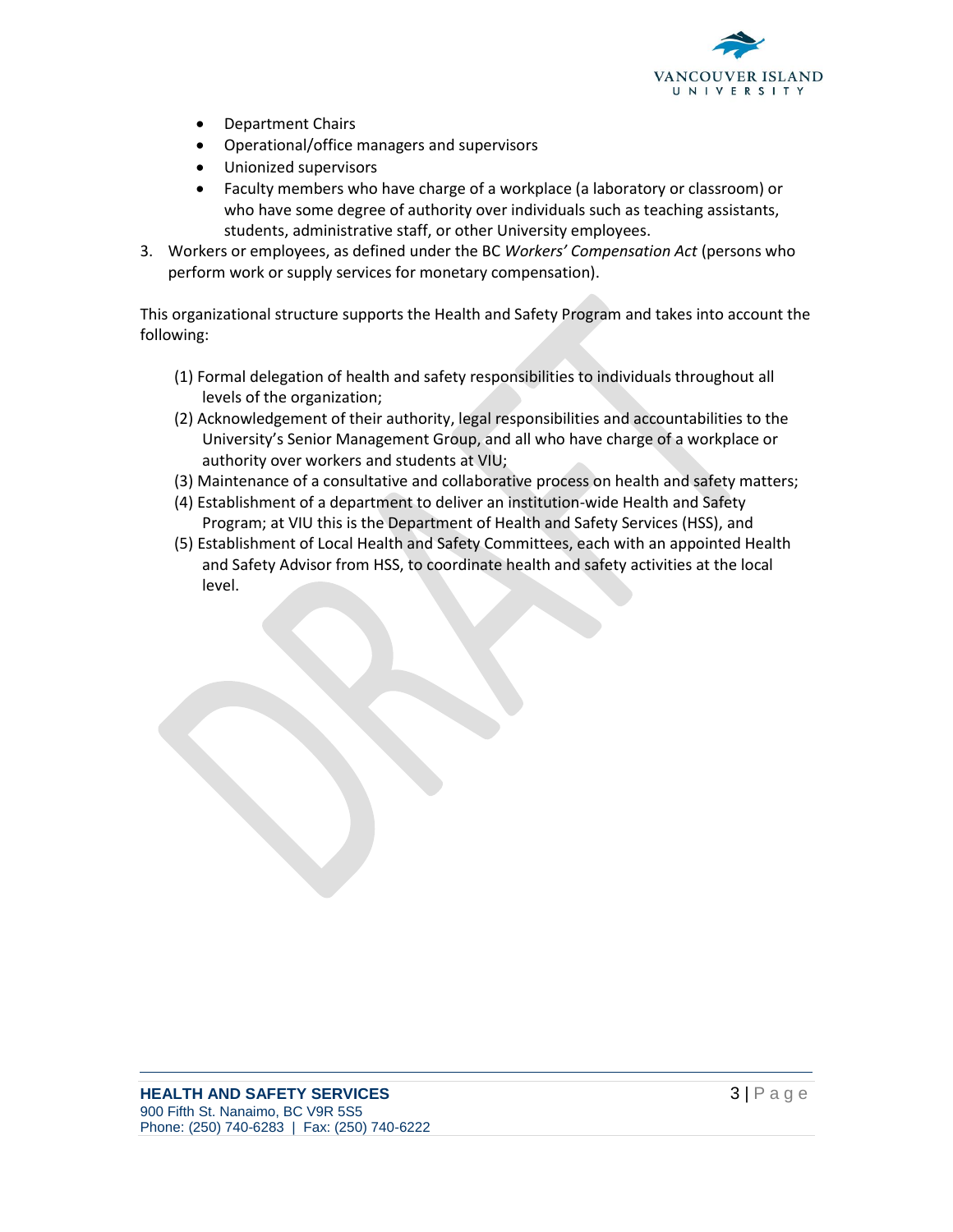

- Department Chairs
- Operational/office managers and supervisors
- Unionized supervisors
- Faculty members who have charge of a workplace (a laboratory or classroom) or who have some degree of authority over individuals such as teaching assistants, students, administrative staff, or other University employees.
- 3. Workers or employees, as defined under the BC *Workers' Compensation Act* (persons who perform work or supply services for monetary compensation).

This organizational structure supports the Health and Safety Program and takes into account the following:

- (1) Formal delegation of health and safety responsibilities to individuals throughout all levels of the organization;
- (2) Acknowledgement of their authority, legal responsibilities and accountabilities to the University's Senior Management Group, and all who have charge of a workplace or authority over workers and students at VIU;
- (3) Maintenance of a consultative and collaborative process on health and safety matters;
- (4) Establishment of a department to deliver an institution-wide Health and Safety Program; at VIU this is the Department of Health and Safety Services (HSS), and
- (5) Establishment of Local Health and Safety Committees, each with an appointed Health and Safety Advisor from HSS, to coordinate health and safety activities at the local level.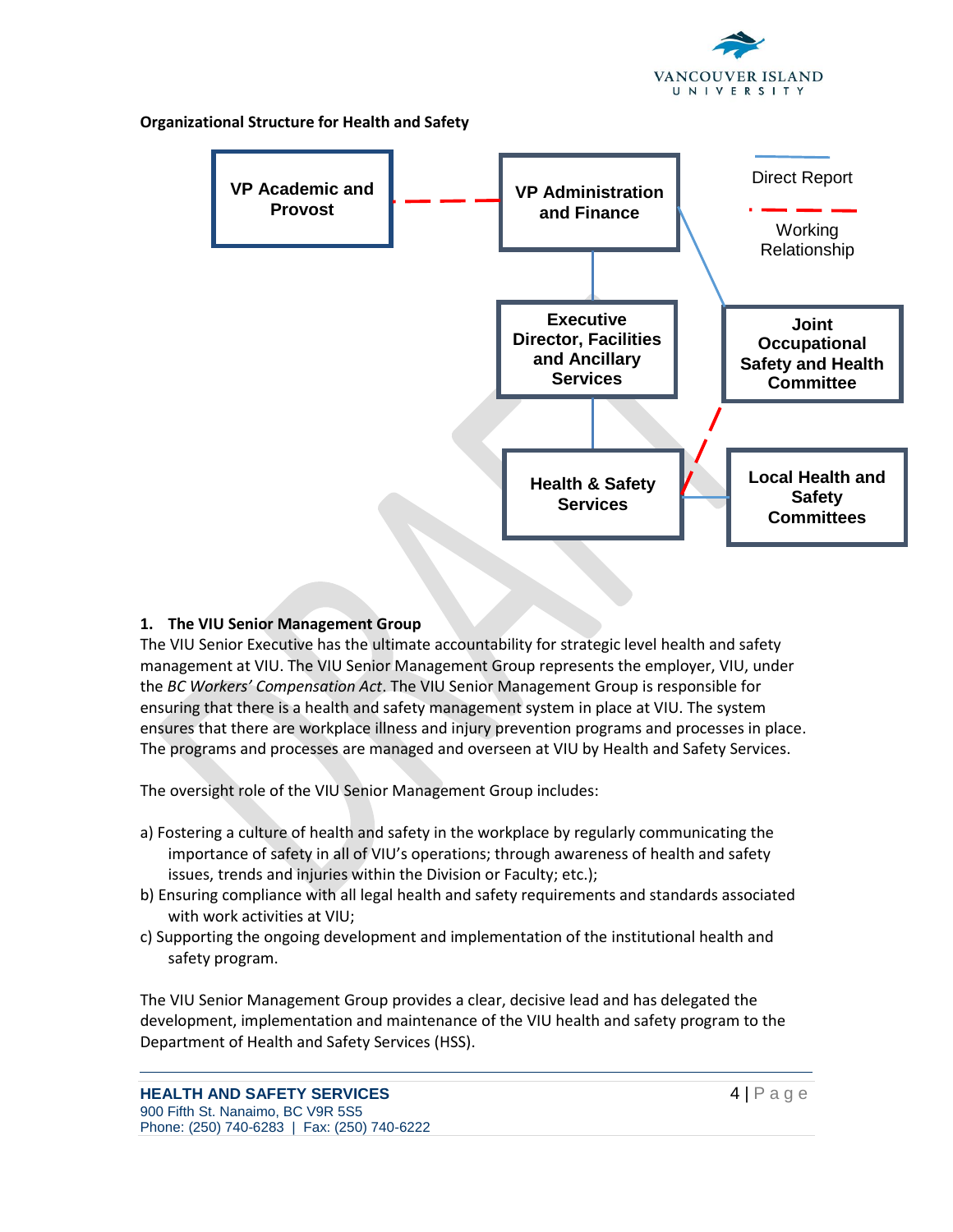

**Organizational Structure for Health and Safety**



## **1. The VIU Senior Management Group**

The VIU Senior Executive has the ultimate accountability for strategic level health and safety management at VIU. The VIU Senior Management Group represents the employer, VIU, under the *BC Workers' Compensation Act*. The VIU Senior Management Group is responsible for ensuring that there is a health and safety management system in place at VIU. The system ensures that there are workplace illness and injury prevention programs and processes in place. The programs and processes are managed and overseen at VIU by Health and Safety Services.

The oversight role of the VIU Senior Management Group includes:

- a) Fostering a culture of health and safety in the workplace by regularly communicating the importance of safety in all of VIU's operations; through awareness of health and safety issues, trends and injuries within the Division or Faculty; etc.);
- b) Ensuring compliance with all legal health and safety requirements and standards associated with work activities at VIU;
- c) Supporting the ongoing development and implementation of the institutional health and safety program.

The VIU Senior Management Group provides a clear, decisive lead and has delegated the development, implementation and maintenance of the VIU health and safety program to the Department of Health and Safety Services (HSS).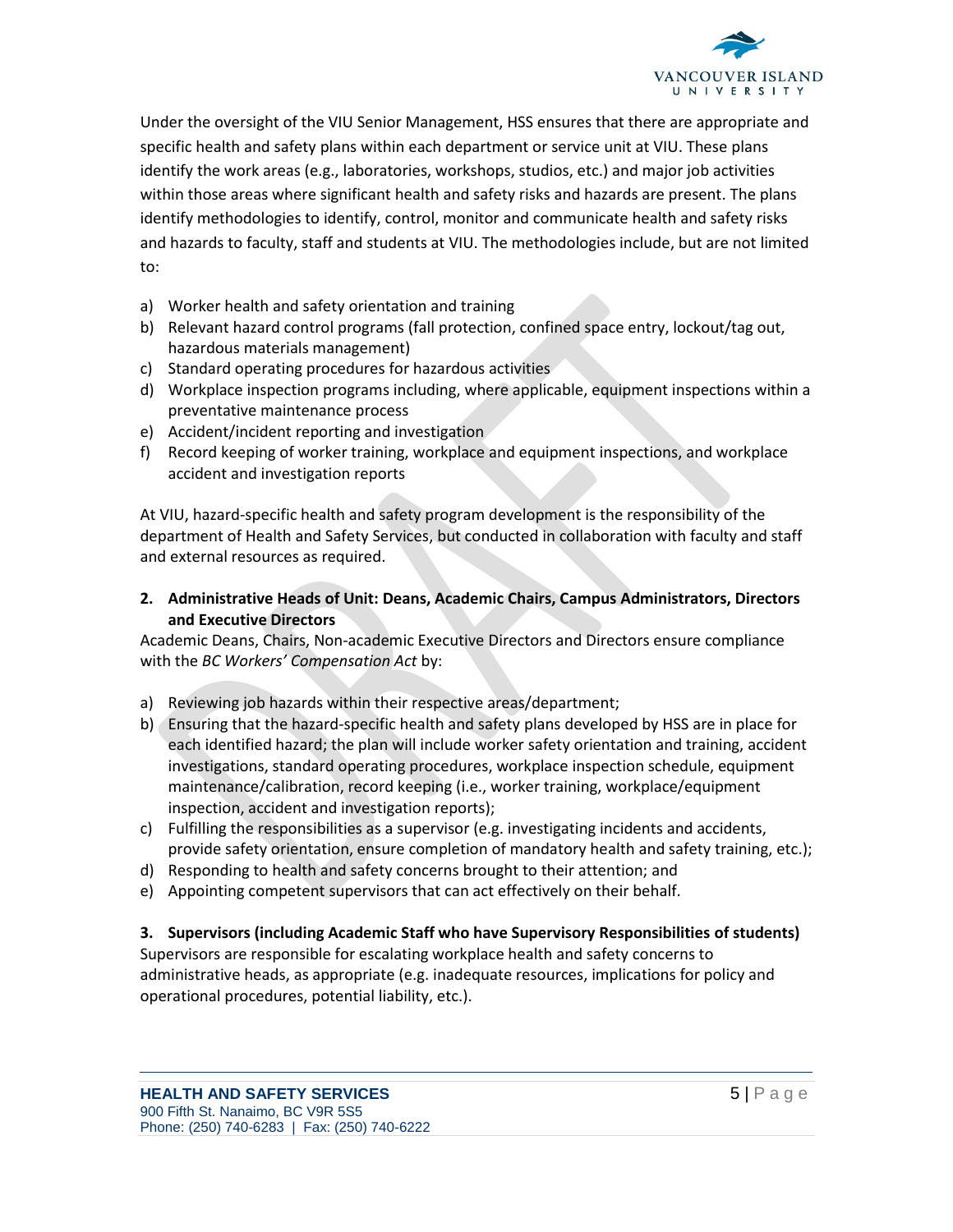

Under the oversight of the VIU Senior Management, HSS ensures that there are appropriate and specific health and safety plans within each department or service unit at VIU. These plans identify the work areas (e.g., laboratories, workshops, studios, etc.) and major job activities within those areas where significant health and safety risks and hazards are present. The plans identify methodologies to identify, control, monitor and communicate health and safety risks and hazards to faculty, staff and students at VIU. The methodologies include, but are not limited to:

- a) Worker health and safety orientation and training
- b) Relevant hazard control programs (fall protection, confined space entry, lockout/tag out, hazardous materials management)
- c) Standard operating procedures for hazardous activities
- d) Workplace inspection programs including, where applicable, equipment inspections within a preventative maintenance process
- e) Accident/incident reporting and investigation
- f) Record keeping of worker training, workplace and equipment inspections, and workplace accident and investigation reports

At VIU, hazard-specific health and safety program development is the responsibility of the department of Health and Safety Services, but conducted in collaboration with faculty and staff and external resources as required.

## **2. Administrative Heads of Unit: Deans, Academic Chairs, Campus Administrators, Directors and Executive Directors**

Academic Deans, Chairs, Non-academic Executive Directors and Directors ensure compliance with the *BC Workers' Compensation Act* by:

- a) Reviewing job hazards within their respective areas/department;
- b) Ensuring that the hazard-specific health and safety plans developed by HSS are in place for each identified hazard; the plan will include worker safety orientation and training, accident investigations, standard operating procedures, workplace inspection schedule, equipment maintenance/calibration, record keeping (i.e., worker training, workplace/equipment inspection, accident and investigation reports);
- c) Fulfilling the responsibilities as a supervisor (e.g. investigating incidents and accidents, provide safety orientation, ensure completion of mandatory health and safety training, etc.);
- d) Responding to health and safety concerns brought to their attention; and
- e) Appointing competent supervisors that can act effectively on their behalf.

#### **3. Supervisors (including Academic Staff who have Supervisory Responsibilities of students)**

Supervisors are responsible for escalating workplace health and safety concerns to administrative heads, as appropriate (e.g. inadequate resources, implications for policy and operational procedures, potential liability, etc.).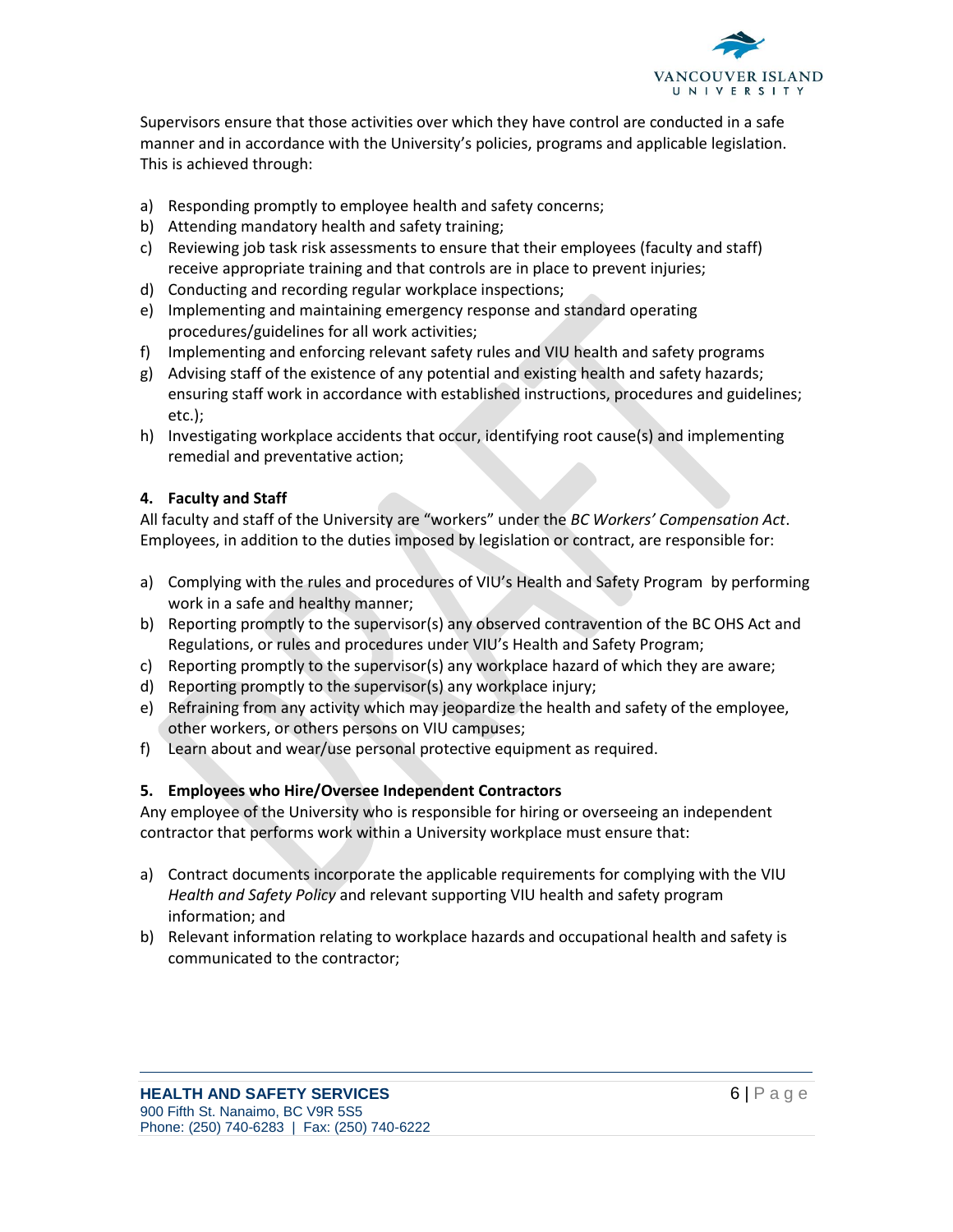

Supervisors ensure that those activities over which they have control are conducted in a safe manner and in accordance with the University's policies, programs and applicable legislation. This is achieved through:

- a) Responding promptly to employee health and safety concerns;
- b) Attending mandatory health and safety training;
- c) Reviewing job task risk assessments to ensure that their employees (faculty and staff) receive appropriate training and that controls are in place to prevent injuries;
- d) Conducting and recording regular workplace inspections;
- e) Implementing and maintaining emergency response and standard operating procedures/guidelines for all work activities;
- f) Implementing and enforcing relevant safety rules and VIU health and safety programs
- g) Advising staff of the existence of any potential and existing health and safety hazards; ensuring staff work in accordance with established instructions, procedures and guidelines; etc.);
- h) Investigating workplace accidents that occur, identifying root cause(s) and implementing remedial and preventative action;

## **4. Faculty and Staff**

All faculty and staff of the University are "workers" under the *BC Workers' Compensation Act*. Employees, in addition to the duties imposed by legislation or contract, are responsible for:

- a) Complying with the rules and procedures of VIU's Health and Safety Program by performing work in a safe and healthy manner;
- b) Reporting promptly to the supervisor(s) any observed contravention of the BC OHS Act and Regulations, or rules and procedures under VIU's Health and Safety Program;
- c) Reporting promptly to the supervisor(s) any workplace hazard of which they are aware;
- d) Reporting promptly to the supervisor(s) any workplace injury;
- e) Refraining from any activity which may jeopardize the health and safety of the employee, other workers, or others persons on VIU campuses;
- f) Learn about and wear/use personal protective equipment as required.

## **5. Employees who Hire/Oversee Independent Contractors**

Any employee of the University who is responsible for hiring or overseeing an independent contractor that performs work within a University workplace must ensure that:

- a) Contract documents incorporate the applicable requirements for complying with the VIU *Health and Safety Policy* and relevant supporting VIU health and safety program information; and
- b) Relevant information relating to workplace hazards and occupational health and safety is communicated to the contractor;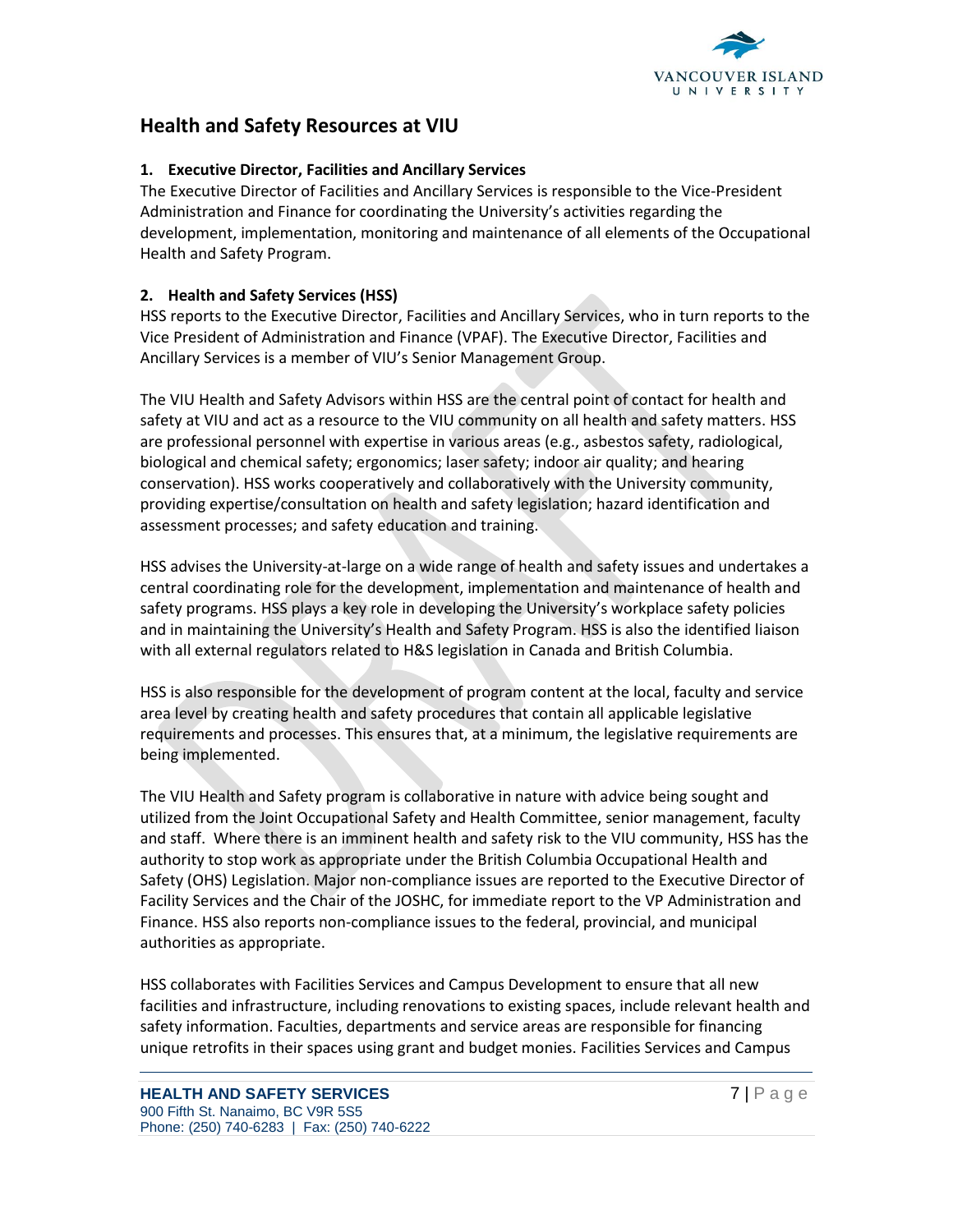

## **Health and Safety Resources at VIU**

## **1. Executive Director, Facilities and Ancillary Services**

The Executive Director of Facilities and Ancillary Services is responsible to the Vice-President Administration and Finance for coordinating the University's activities regarding the development, implementation, monitoring and maintenance of all elements of the Occupational Health and Safety Program.

## **2. Health and Safety Services (HSS)**

HSS reports to the Executive Director, Facilities and Ancillary Services, who in turn reports to the Vice President of Administration and Finance (VPAF). The Executive Director, Facilities and Ancillary Services is a member of VIU's Senior Management Group.

The VIU Health and Safety Advisors within HSS are the central point of contact for health and safety at VIU and act as a resource to the VIU community on all health and safety matters. HSS are professional personnel with expertise in various areas (e.g., asbestos safety, radiological, biological and chemical safety; ergonomics; laser safety; indoor air quality; and hearing conservation). HSS works cooperatively and collaboratively with the University community, providing expertise/consultation on health and safety legislation; hazard identification and assessment processes; and safety education and training.

HSS advises the University-at-large on a wide range of health and safety issues and undertakes a central coordinating role for the development, implementation and maintenance of health and safety programs. HSS plays a key role in developing the University's workplace safety policies and in maintaining the University's Health and Safety Program. HSS is also the identified liaison with all external regulators related to H&S legislation in Canada and British Columbia.

HSS is also responsible for the development of program content at the local, faculty and service area level by creating health and safety procedures that contain all applicable legislative requirements and processes. This ensures that, at a minimum, the legislative requirements are being implemented.

The VIU Health and Safety program is collaborative in nature with advice being sought and utilized from the Joint Occupational Safety and Health Committee, senior management, faculty and staff. Where there is an imminent health and safety risk to the VIU community, HSS has the authority to stop work as appropriate under the British Columbia Occupational Health and Safety (OHS) Legislation. Major non-compliance issues are reported to the Executive Director of Facility Services and the Chair of the JOSHC, for immediate report to the VP Administration and Finance. HSS also reports non-compliance issues to the federal, provincial, and municipal authorities as appropriate.

HSS collaborates with Facilities Services and Campus Development to ensure that all new facilities and infrastructure, including renovations to existing spaces, include relevant health and safety information. Faculties, departments and service areas are responsible for financing unique retrofits in their spaces using grant and budget monies. Facilities Services and Campus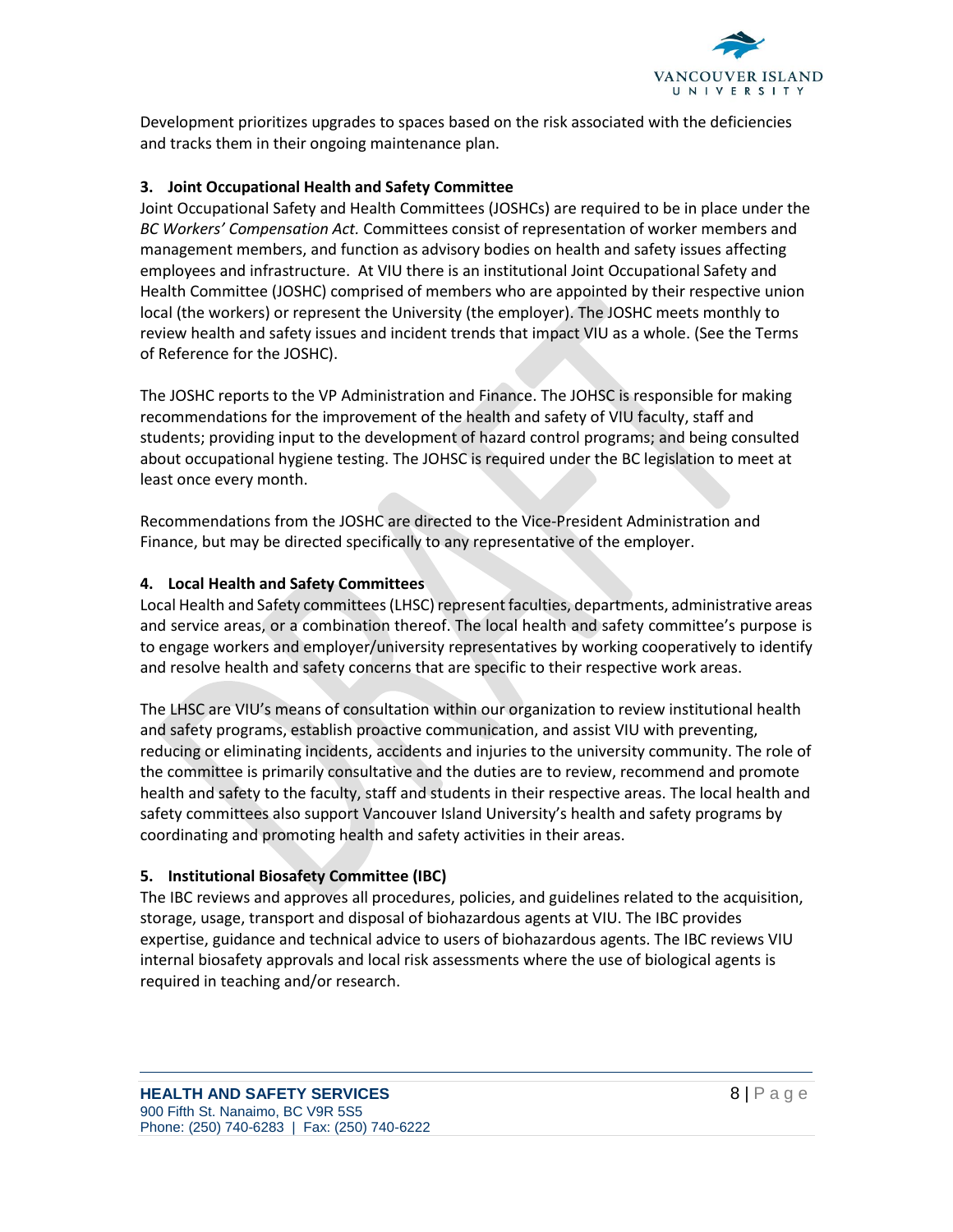

Development prioritizes upgrades to spaces based on the risk associated with the deficiencies and tracks them in their ongoing maintenance plan.

## **3. Joint Occupational Health and Safety Committee**

Joint Occupational Safety and Health Committees (JOSHCs) are required to be in place under the *BC Workers' Compensation Act.* Committees consist of representation of worker members and management members, and function as advisory bodies on health and safety issues affecting employees and infrastructure. At VIU there is an institutional Joint Occupational Safety and Health Committee (JOSHC) comprised of members who are appointed by their respective union local (the workers) or represent the University (the employer). The JOSHC meets monthly to review health and safety issues and incident trends that impact VIU as a whole. (See the Terms of Reference for the JOSHC).

The JOSHC reports to the VP Administration and Finance. The JOHSC is responsible for making recommendations for the improvement of the health and safety of VIU faculty, staff and students; providing input to the development of hazard control programs; and being consulted about occupational hygiene testing. The JOHSC is required under the BC legislation to meet at least once every month.

Recommendations from the JOSHC are directed to the Vice-President Administration and Finance, but may be directed specifically to any representative of the employer.

## **4. Local Health and Safety Committees**

Local Health and Safety committees (LHSC) represent faculties, departments, administrative areas and service areas, or a combination thereof. The local health and safety committee's purpose is to engage workers and employer/university representatives by working cooperatively to identify and resolve health and safety concerns that are specific to their respective work areas.

The LHSC are VIU's means of consultation within our organization to review institutional health and safety programs, establish proactive communication, and assist VIU with preventing, reducing or eliminating incidents, accidents and injuries to the university community. The role of the committee is primarily consultative and the duties are to review, recommend and promote health and safety to the faculty, staff and students in their respective areas. The local health and safety committees also support Vancouver Island University's health and safety programs by coordinating and promoting health and safety activities in their areas.

## **5. Institutional Biosafety Committee (IBC)**

The IBC reviews and approves all procedures, policies, and guidelines related to the acquisition, storage, usage, transport and disposal of biohazardous agents at VIU. The IBC provides expertise, guidance and technical advice to users of biohazardous agents. The IBC reviews VIU internal biosafety approvals and local risk assessments where the use of biological agents is required in teaching and/or research.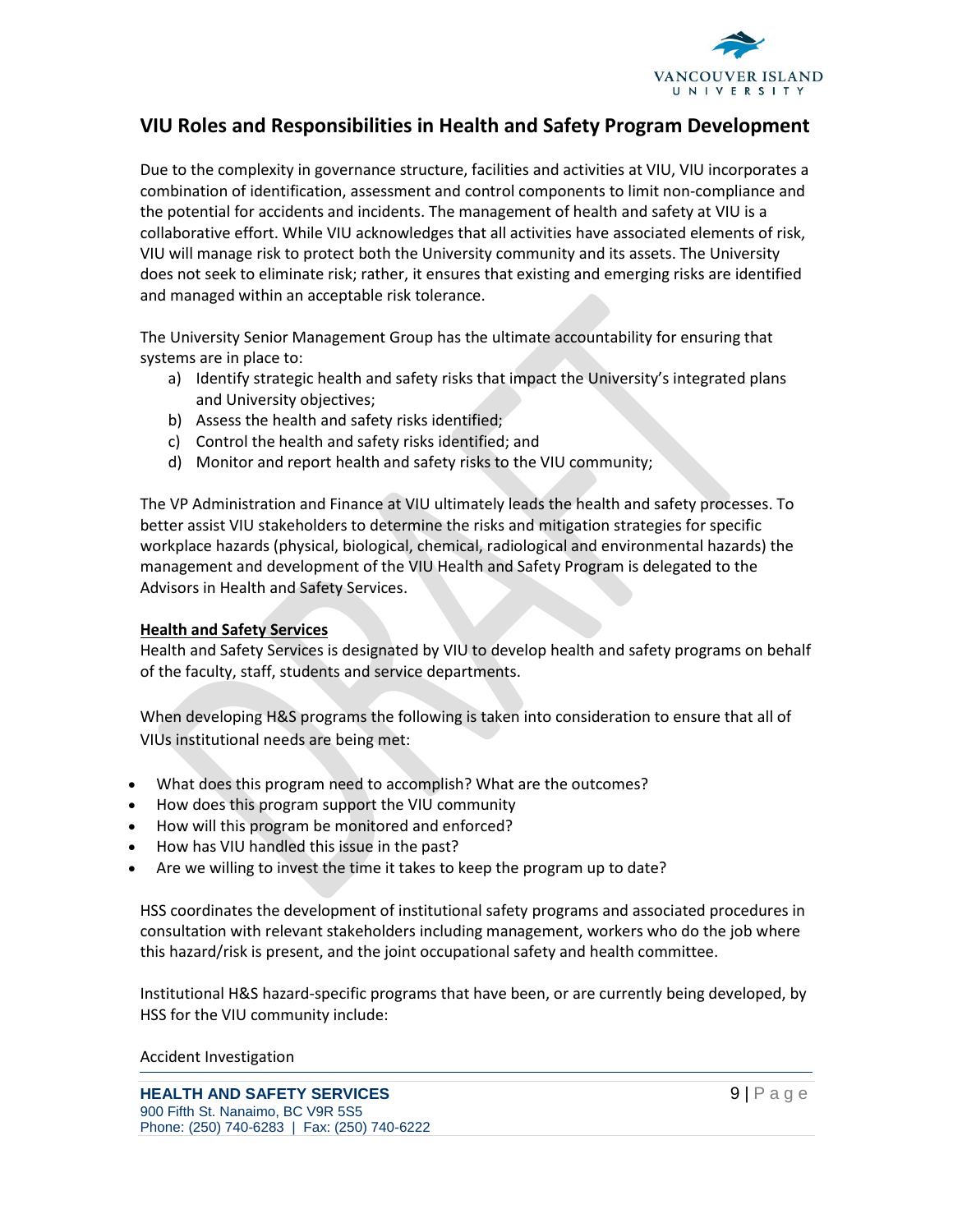

## **VIU Roles and Responsibilities in Health and Safety Program Development**

Due to the complexity in governance structure, facilities and activities at VIU, VIU incorporates a combination of identification, assessment and control components to limit non-compliance and the potential for accidents and incidents. The management of health and safety at VIU is a collaborative effort. While VIU acknowledges that all activities have associated elements of risk, VIU will manage risk to protect both the University community and its assets. The University does not seek to eliminate risk; rather, it ensures that existing and emerging risks are identified and managed within an acceptable risk tolerance.

The University Senior Management Group has the ultimate accountability for ensuring that systems are in place to:

- a) Identify strategic health and safety risks that impact the University's integrated plans and University objectives;
- b) Assess the health and safety risks identified;
- c) Control the health and safety risks identified; and
- d) Monitor and report health and safety risks to the VIU community;

The VP Administration and Finance at VIU ultimately leads the health and safety processes. To better assist VIU stakeholders to determine the risks and mitigation strategies for specific workplace hazards (physical, biological, chemical, radiological and environmental hazards) the management and development of the VIU Health and Safety Program is delegated to the Advisors in Health and Safety Services.

#### **Health and Safety Services**

Health and Safety Services is designated by VIU to develop health and safety programs on behalf of the faculty, staff, students and service departments.

When developing H&S programs the following is taken into consideration to ensure that all of VIUs institutional needs are being met:

- What does this program need to accomplish? What are the outcomes?
- How does this program support the VIU community
- How will this program be monitored and enforced?
- How has VIU handled this issue in the past?
- Are we willing to invest the time it takes to keep the program up to date?

HSS coordinates the development of institutional safety programs and associated procedures in consultation with relevant stakeholders including management, workers who do the job where this hazard/risk is present, and the joint occupational safety and health committee.

Institutional H&S hazard-specific programs that have been, or are currently being developed, by HSS for the VIU community include:

#### Accident Investigation